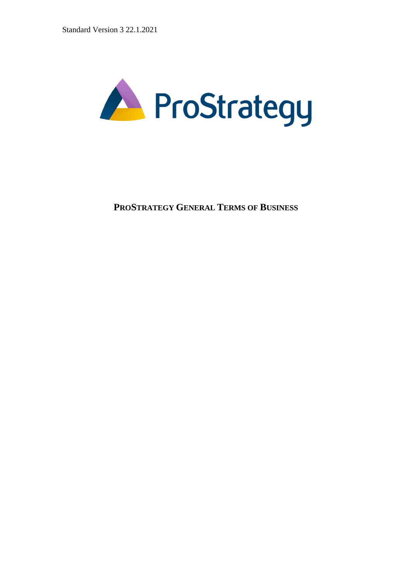

**PROSTRATEGY GENERAL TERMS OF BUSINESS**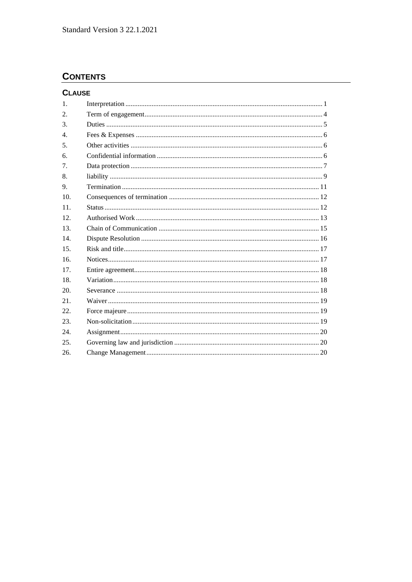# **CONTENTS**

| <b>CLAUSE</b>    |  |
|------------------|--|
| 1.               |  |
| 2.               |  |
| $\mathcal{F}$    |  |
| $\overline{4}$ . |  |
| 5 <sub>1</sub>   |  |
| 6.               |  |
| 7 <sub>1</sub>   |  |
| 8.               |  |
| 9.               |  |
| 10 <sup>1</sup>  |  |
| 11.              |  |
| 12 <sub>1</sub>  |  |
| 13.              |  |
| 14               |  |
| 15.              |  |
| 16.              |  |
| 17.              |  |
| 18.              |  |
| 20.              |  |
| 21.              |  |
| 22.              |  |
| 23.              |  |
| 24.              |  |
| 25.              |  |
| 26.              |  |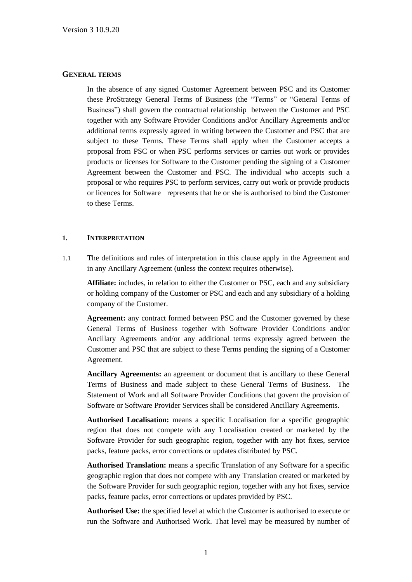#### **GENERAL TERMS**

In the absence of any signed Customer Agreement between PSC and its Customer these ProStrategy General Terms of Business (the "Terms" or "General Terms of Business") shall govern the contractual relationship between the Customer and PSC together with any Software Provider Conditions and/or Ancillary Agreements and/or additional terms expressly agreed in writing between the Customer and PSC that are subject to these Terms. These Terms shall apply when the Customer accepts a proposal from PSC or when PSC performs services or carries out work or provides products or licenses for Software to the Customer pending the signing of a Customer Agreement between the Customer and PSC. The individual who accepts such a proposal or who requires PSC to perform services, carry out work or provide products or licences for Software represents that he or she is authorised to bind the Customer to these Terms.

#### **1. INTERPRETATION**

1.1 The definitions and rules of interpretation in this clause apply in the Agreement and in any Ancillary Agreement (unless the context requires otherwise).

**Affiliate:** includes, in relation to either the Customer or PSC, each and any subsidiary or holding company of the Customer or PSC and each and any subsidiary of a holding company of the Customer.

**Agreement:** any contract formed between PSC and the Customer governed by these General Terms of Business together with Software Provider Conditions and/or Ancillary Agreements and/or any additional terms expressly agreed between the Customer and PSC that are subject to these Terms pending the signing of a Customer Agreement.

**Ancillary Agreements:** an agreement or document that is ancillary to these General Terms of Business and made subject to these General Terms of Business. The Statement of Work and all Software Provider Conditions that govern the provision of Software or Software Provider Services shall be considered Ancillary Agreements.

**Authorised Localisation:** means a specific Localisation for a specific geographic region that does not compete with any Localisation created or marketed by the Software Provider for such geographic region, together with any hot fixes, service packs, feature packs, error corrections or updates distributed by PSC.

**Authorised Translation:** means a specific Translation of any Software for a specific geographic region that does not compete with any Translation created or marketed by the Software Provider for such geographic region, together with any hot fixes, service packs, feature packs, error corrections or updates provided by PSC.

**Authorised Use:** the specified level at which the Customer is authorised to execute or run the Software and Authorised Work. That level may be measured by number of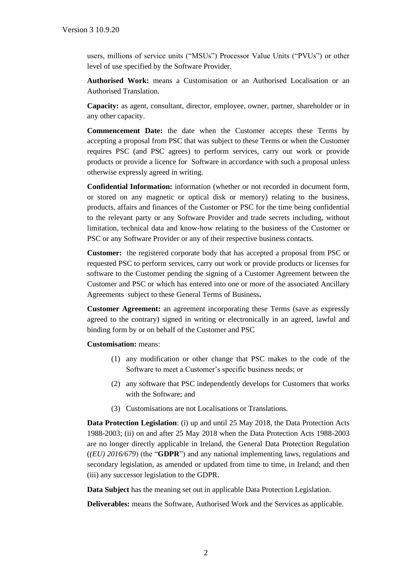users, millions of service units ("MSUs") Processor Value Units ("PVUs") or other level of use specified by the Software Provider.

**Authorised Work:** means a Customisation or an Authorised Localisation or an Authorised Translation.

**Capacity:** as agent, consultant, director, employee, owner, partner, shareholder or in any other capacity.

**Commencement Date:** the date when the Customer accepts these Terms by accepting a proposal from PSC that was subject to these Terms or when the Customer requires PSC (and PSC agrees) to perform services, carry out work or provide products or provide a licence for Software in accordance with such a proposal unless otherwise expressly agreed in writing.

**Confidential Information:** information (whether or not recorded in document form, or stored on any magnetic or optical disk or memory) relating to the business, products, affairs and finances of the Customer or PSC for the time being confidential to the relevant party or any Software Provider and trade secrets including, without limitation, technical data and know-how relating to the business of the Customer or PSC or any Software Provider or any of their respective business contacts.

**Customer:** the registered corporate body that has accepted a proposal from PSC or requested PSC to perform services, carry out work or provide products or licenses for software to the Customer pending the signing of a Customer Agreement between the Customer and PSC or which has entered into one or more of the associated Ancillary Agreements subject to these General Terms of Business**.**

**Customer Agreement:** an agreement incorporating these Terms (save as expressly agreed to the contrary) signed in writing or electronically in an agreed, lawful and binding form by or on behalf of the Customer and PSC

**Customisation:** means:

- (1) any modification or other change that PSC makes to the code of the Software to meet a Customer's specific business needs; or
- (2) any software that PSC independently develops for Customers that works with the Software; and
- (3) Customisations are not Localisations or Translations.

**Data Protection Legislation**: (i) up and until 25 May 2018, the Data Protection Acts 1988-2003; (ii) on and after 25 May 2018 when the Data Protection Acts 1988-2003 are no longer directly applicable in Ireland, the General Data Protection Regulation (*(EU) 2016/679*) (the "**GDPR**") and any national implementing laws, regulations and secondary legislation, as amended or updated from time to time, in Ireland; and then (iii) any successor legislation to the GDPR.

**Data Subject** has the meaning set out in applicable Data Protection Legislation.

**Deliverables:** means the Software, Authorised Work and the Services as applicable.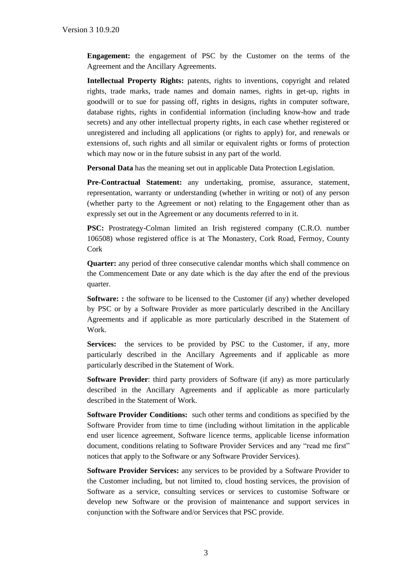**Engagement:** the engagement of PSC by the Customer on the terms of the Agreement and the Ancillary Agreements.

**Intellectual Property Rights:** patents, rights to inventions, copyright and related rights, trade marks, trade names and domain names, rights in get-up, rights in goodwill or to sue for passing off, rights in designs, rights in computer software, database rights, rights in confidential information (including know-how and trade secrets) and any other intellectual property rights, in each case whether registered or unregistered and including all applications (or rights to apply) for, and renewals or extensions of, such rights and all similar or equivalent rights or forms of protection which may now or in the future subsist in any part of the world.

**Personal Data** has the meaning set out in applicable Data Protection Legislation.

**Pre-Contractual Statement:** any undertaking, promise, assurance, statement, representation, warranty or understanding (whether in writing or not) of any person (whether party to the Agreement or not) relating to the Engagement other than as expressly set out in the Agreement or any documents referred to in it.

**PSC:** Prostrategy-Colman limited an Irish registered company (C.R.O. number 106508) whose registered office is at The Monastery, Cork Road, Fermoy, County Cork

**Quarter:** any period of three consecutive calendar months which shall commence on the Commencement Date or any date which is the day after the end of the previous quarter.

**Software:** : the software to be licensed to the Customer (if any) whether developed by PSC or by a Software Provider as more particularly described in the Ancillary Agreements and if applicable as more particularly described in the Statement of Work.

**Services:** the services to be provided by PSC to the Customer, if any, more particularly described in the Ancillary Agreements and if applicable as more particularly described in the Statement of Work.

**Software Provider**: third party providers of Software (if any) as more particularly described in the Ancillary Agreements and if applicable as more particularly described in the Statement of Work.

**Software Provider Conditions:** such other terms and conditions as specified by the Software Provider from time to time (including without limitation in the applicable end user licence agreement, Software licence terms, applicable license information document, conditions relating to Software Provider Services and any "read me first" notices that apply to the Software or any Software Provider Services).

**Software Provider Services:** any services to be provided by a Software Provider to the Customer including, but not limited to, cloud hosting services, the provision of Software as a service, consulting services or services to customise Software or develop new Software or the provision of maintenance and support services in conjunction with the Software and/or Services that PSC provide.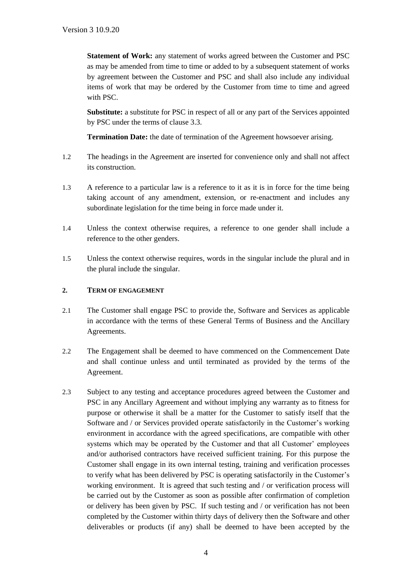**Statement of Work:** any statement of works agreed between the Customer and PSC as may be amended from time to time or added to by a subsequent statement of works by agreement between the Customer and PSC and shall also include any individual items of work that may be ordered by the Customer from time to time and agreed with PSC.

**Substitute:** a substitute for PSC in respect of all or any part of the Services appointed by PSC under the terms of clause 3.3.

**Termination Date:** the date of termination of the Agreement howsoever arising.

- 1.2 The headings in the Agreement are inserted for convenience only and shall not affect its construction.
- 1.3 A reference to a particular law is a reference to it as it is in force for the time being taking account of any amendment, extension, or re-enactment and includes any subordinate legislation for the time being in force made under it.
- 1.4 Unless the context otherwise requires, a reference to one gender shall include a reference to the other genders.
- 1.5 Unless the context otherwise requires, words in the singular include the plural and in the plural include the singular.

### **2. TERM OF ENGAGEMENT**

- 2.1 The Customer shall engage PSC to provide the, Software and Services as applicable in accordance with the terms of these General Terms of Business and the Ancillary Agreements.
- 2.2 The Engagement shall be deemed to have commenced on the Commencement Date and shall continue unless and until terminated as provided by the terms of the Agreement.
- 2.3 Subject to any testing and acceptance procedures agreed between the Customer and PSC in any Ancillary Agreement and without implying any warranty as to fitness for purpose or otherwise it shall be a matter for the Customer to satisfy itself that the Software and / or Services provided operate satisfactorily in the Customer's working environment in accordance with the agreed specifications, are compatible with other systems which may be operated by the Customer and that all Customer' employees and/or authorised contractors have received sufficient training. For this purpose the Customer shall engage in its own internal testing, training and verification processes to verify what has been delivered by PSC is operating satisfactorily in the Customer's working environment. It is agreed that such testing and / or verification process will be carried out by the Customer as soon as possible after confirmation of completion or delivery has been given by PSC. If such testing and / or verification has not been completed by the Customer within thirty days of delivery then the Software and other deliverables or products (if any) shall be deemed to have been accepted by the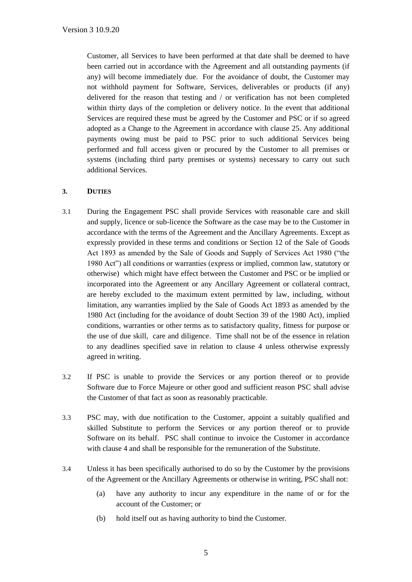Customer, all Services to have been performed at that date shall be deemed to have been carried out in accordance with the Agreement and all outstanding payments (if any) will become immediately due. For the avoidance of doubt, the Customer may not withhold payment for Software, Services, deliverables or products (if any) delivered for the reason that testing and / or verification has not been completed within thirty days of the completion or delivery notice. In the event that additional Services are required these must be agreed by the Customer and PSC or if so agreed adopted as a Change to the Agreement in accordance with clause 25. Any additional payments owing must be paid to PSC prior to such additional Services being performed and full access given or procured by the Customer to all premises or systems (including third party premises or systems) necessary to carry out such additional Services.

# **3. DUTIES**

- 3.1 During the Engagement PSC shall provide Services with reasonable care and skill and supply, licence or sub-licence the Software as the case may be to the Customer in accordance with the terms of the Agreement and the Ancillary Agreements. Except as expressly provided in these terms and conditions or Section 12 of the Sale of Goods Act 1893 as amended by the Sale of Goods and Supply of Services Act 1980 ("the 1980 Act") all conditions or warranties (express or implied, common law, statutory or otherwise) which might have effect between the Customer and PSC or be implied or incorporated into the Agreement or any Ancillary Agreement or collateral contract, are hereby excluded to the maximum extent permitted by law, including, without limitation, any warranties implied by the Sale of Goods Act 1893 as amended by the 1980 Act (including for the avoidance of doubt Section 39 of the 1980 Act), implied conditions, warranties or other terms as to satisfactory quality, fitness for purpose or the use of due skill, care and diligence. Time shall not be of the essence in relation to any deadlines specified save in relation to clause 4 unless otherwise expressly agreed in writing.
- 3.2 If PSC is unable to provide the Services or any portion thereof or to provide Software due to Force Majeure or other good and sufficient reason PSC shall advise the Customer of that fact as soon as reasonably practicable.
- 3.3 PSC may, with due notification to the Customer, appoint a suitably qualified and skilled Substitute to perform the Services or any portion thereof or to provide Software on its behalf. PSC shall continue to invoice the Customer in accordance with clause [4](#page-7-0) and shall be responsible for the remuneration of the Substitute.
- 3.4 Unless it has been specifically authorised to do so by the Customer by the provisions of the Agreement or the Ancillary Agreements or otherwise in writing, PSC shall not:
	- (a) have any authority to incur any expenditure in the name of or for the account of the Customer; or
	- (b) hold itself out as having authority to bind the Customer.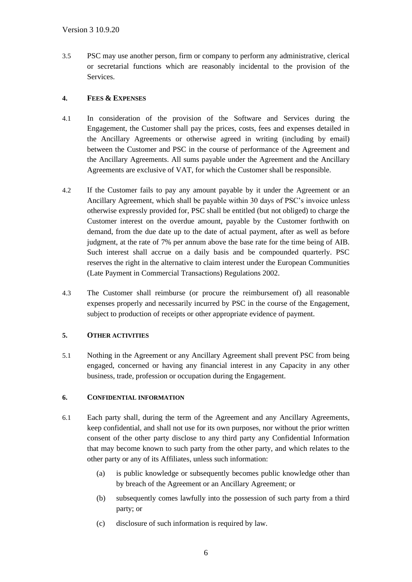3.5 PSC may use another person, firm or company to perform any administrative, clerical or secretarial functions which are reasonably incidental to the provision of the Services.

# <span id="page-7-0"></span>**4. FEES & EXPENSES**

- 4.1 In consideration of the provision of the Software and Services during the Engagement, the Customer shall pay the prices, costs, fees and expenses detailed in the Ancillary Agreements or otherwise agreed in writing (including by email) between the Customer and PSC in the course of performance of the Agreement and the Ancillary Agreements. All sums payable under the Agreement and the Ancillary Agreements are exclusive of VAT, for which the Customer shall be responsible.
- 4.2 If the Customer fails to pay any amount payable by it under the Agreement or an Ancillary Agreement, which shall be payable within 30 days of PSC's invoice unless otherwise expressly provided for, PSC shall be entitled (but not obliged) to charge the Customer interest on the overdue amount, payable by the Customer forthwith on demand, from the due date up to the date of actual payment, after as well as before judgment, at the rate of 7% per annum above the base rate for the time being of AIB. Such interest shall accrue on a daily basis and be compounded quarterly. PSC reserves the right in the alternative to claim interest under the European Communities (Late Payment in Commercial Transactions) Regulations 2002.
- 4.3 The Customer shall reimburse (or procure the reimbursement of) all reasonable expenses properly and necessarily incurred by PSC in the course of the Engagement, subject to production of receipts or other appropriate evidence of payment.

# **5. OTHER ACTIVITIES**

5.1 Nothing in the Agreement or any Ancillary Agreement shall prevent PSC from being engaged, concerned or having any financial interest in any Capacity in any other business, trade, profession or occupation during the Engagement.

# **6. CONFIDENTIAL INFORMATION**

- 6.1 Each party shall, during the term of the Agreement and any Ancillary Agreements, keep confidential, and shall not use for its own purposes, nor without the prior written consent of the other party disclose to any third party any Confidential Information that may become known to such party from the other party, and which relates to the other party or any of its Affiliates, unless such information:
	- (a) is public knowledge or subsequently becomes public knowledge other than by breach of the Agreement or an Ancillary Agreement; or
	- (b) subsequently comes lawfully into the possession of such party from a third party; or
	- (c) disclosure of such information is required by law.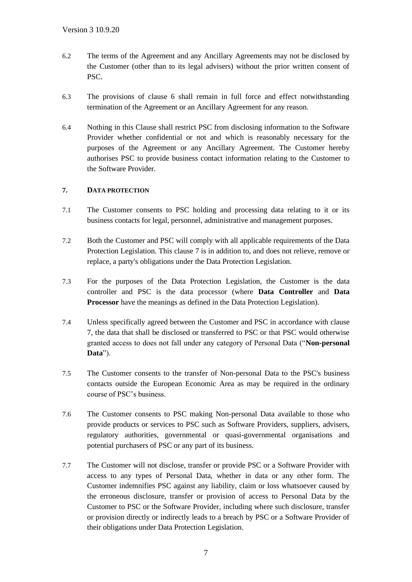- 6.2 The terms of the Agreement and any Ancillary Agreements may not be disclosed by the Customer (other than to its legal advisers) without the prior written consent of PSC.
- 6.3 The provisions of clause 6 shall remain in full force and effect notwithstanding termination of the Agreement or an Ancillary Agreement for any reason.
- 6.4 Nothing in this Clause shall restrict PSC from disclosing information to the Software Provider whether confidential or not and which is reasonably necessary for the purposes of the Agreement or any Ancillary Agreement. The Customer hereby authorises PSC to provide business contact information relating to the Customer to the Software Provider.

# **7. DATA PROTECTION**

- 7.1 The Customer consents to PSC holding and processing data relating to it or its business contacts for legal, personnel, administrative and management purposes.
- 7.2 Both the Customer and PSC will comply with all applicable requirements of the Data Protection Legislation. This clause 7 is in addition to, and does not relieve, remove or replace, a party's obligations under the Data Protection Legislation.
- 7.3 For the purposes of the Data Protection Legislation, the Customer is the data controller and PSC is the data processor (where **Data Controller** and **Data Processor** have the meanings as defined in the Data Protection Legislation).
- 7.4 Unless specifically agreed between the Customer and PSC in accordance with clause 7, the data that shall be disclosed or transferred to PSC or that PSC would otherwise granted access to does not fall under any category of Personal Data ("**Non-personal Data**").
- 7.5 The Customer consents to the transfer of Non-personal Data to the PSC's business contacts outside the European Economic Area as may be required in the ordinary course of PSC's business.
- 7.6 The Customer consents to PSC making Non-personal Data available to those who provide products or services to PSC such as Software Providers, suppliers, advisers, regulatory authorities, governmental or quasi-governmental organisations and potential purchasers of PSC or any part of its business.
- 7.7 The Customer will not disclose, transfer or provide PSC or a Software Provider with access to any types of Personal Data, whether in data or any other form. The Customer indemnifies PSC against any liability, claim or loss whatsoever caused by the erroneous disclosure, transfer or provision of access to Personal Data by the Customer to PSC or the Software Provider, including where such disclosure, transfer or provision directly or indirectly leads to a breach by PSC or a Software Provider of their obligations under Data Protection Legislation.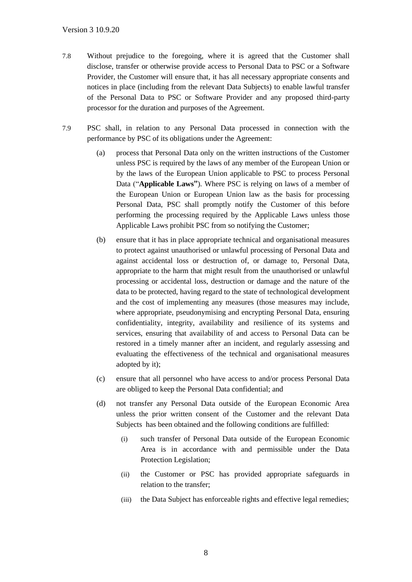- 7.8 Without prejudice to the foregoing, where it is agreed that the Customer shall disclose, transfer or otherwise provide access to Personal Data to PSC or a Software Provider, the Customer will ensure that, it has all necessary appropriate consents and notices in place (including from the relevant Data Subjects) to enable lawful transfer of the Personal Data to PSC or Software Provider and any proposed third-party processor for the duration and purposes of the Agreement.
- 7.9 PSC shall, in relation to any Personal Data processed in connection with the performance by PSC of its obligations under the Agreement:
	- (a) process that Personal Data only on the written instructions of the Customer unless PSC is required by the laws of any member of the European Union or by the laws of the European Union applicable to PSC to process Personal Data ("**Applicable Laws"**). Where PSC is relying on laws of a member of the European Union or European Union law as the basis for processing Personal Data, PSC shall promptly notify the Customer of this before performing the processing required by the Applicable Laws unless those Applicable Laws prohibit PSC from so notifying the Customer;
	- (b) ensure that it has in place appropriate technical and organisational measures to protect against unauthorised or unlawful processing of Personal Data and against accidental loss or destruction of, or damage to, Personal Data, appropriate to the harm that might result from the unauthorised or unlawful processing or accidental loss, destruction or damage and the nature of the data to be protected, having regard to the state of technological development and the cost of implementing any measures (those measures may include, where appropriate, pseudonymising and encrypting Personal Data, ensuring confidentiality, integrity, availability and resilience of its systems and services, ensuring that availability of and access to Personal Data can be restored in a timely manner after an incident, and regularly assessing and evaluating the effectiveness of the technical and organisational measures adopted by it);
	- (c) ensure that all personnel who have access to and/or process Personal Data are obliged to keep the Personal Data confidential; and
	- (d) not transfer any Personal Data outside of the European Economic Area unless the prior written consent of the Customer and the relevant Data Subjects has been obtained and the following conditions are fulfilled:
		- (i) such transfer of Personal Data outside of the European Economic Area is in accordance with and permissible under the Data Protection Legislation;
		- (ii) the Customer or PSC has provided appropriate safeguards in relation to the transfer;
		- (iii) the Data Subject has enforceable rights and effective legal remedies;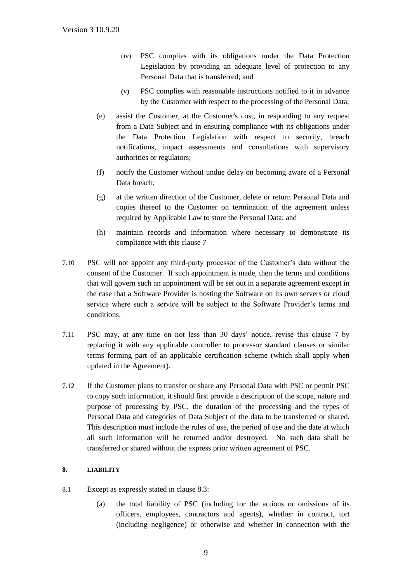- (iv) PSC complies with its obligations under the Data Protection Legislation by providing an adequate level of protection to any Personal Data that is transferred; and
- (v) PSC complies with reasonable instructions notified to it in advance by the Customer with respect to the processing of the Personal Data;
- (e) assist the Customer, at the Customer's cost, in responding to any request from a Data Subject and in ensuring compliance with its obligations under the Data Protection Legislation with respect to security, breach notifications, impact assessments and consultations with supervisory authorities or regulators;
- (f) notify the Customer without undue delay on becoming aware of a Personal Data breach;
- (g) at the written direction of the Customer, delete or return Personal Data and copies thereof to the Customer on termination of the agreement unless required by Applicable Law to store the Personal Data; and
- (h) maintain records and information where necessary to demonstrate its compliance with this clause 7
- 7.10 PSC will not appoint any third-party processor of the Customer's data without the consent of the Customer. If such appointment is made, then the terms and conditions that will govern such an appointment will be set out in a separate agreement except in the case that a Software Provider is hosting the Software on its own servers or cloud service where such a service will be subject to the Software Provider's terms and conditions.
- 7.11 PSC may, at any time on not less than 30 days' notice, revise this clause 7 by replacing it with any applicable controller to processor standard clauses or similar terms forming part of an applicable certification scheme (which shall apply when updated in the Agreement).
- 7.12 If the Customer plans to transfer or share any Personal Data with PSC or permit PSC to copy such information, it should first provide a description of the scope, nature and purpose of processing by PSC, the duration of the processing and the types of Personal Data and categories of Data Subject of the data to be transferred or shared. This description must include the rules of use, the period of use and the date at which all such information will be returned and/or destroyed. No such data shall be transferred or shared without the express prior written agreement of PSC.

# **8. LIABILITY**

- 8.1 Except as expressly stated in clause 8.3:
	- (a) the total liability of PSC (including for the actions or omissions of its officers, employees, contractors and agents), whether in contract, tort (including negligence) or otherwise and whether in connection with the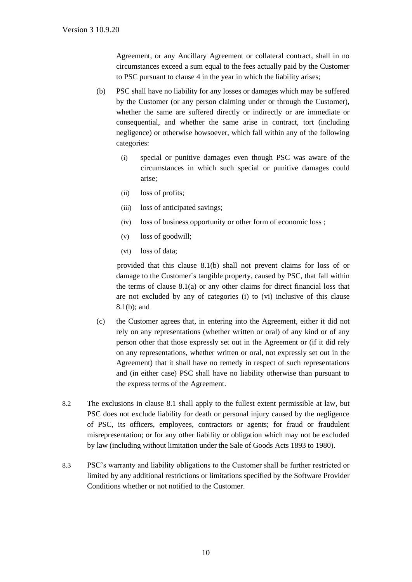Agreement, or any Ancillary Agreement or collateral contract, shall in no circumstances exceed a sum equal to the fees actually paid by the Customer to PSC pursuant to clause 4 in the year in which the liability arises;

- (b) PSC shall have no liability for any losses or damages which may be suffered by the Customer (or any person claiming under or through the Customer), whether the same are suffered directly or indirectly or are immediate or consequential, and whether the same arise in contract, tort (including negligence) or otherwise howsoever, which fall within any of the following categories:
	- (i) special or punitive damages even though PSC was aware of the circumstances in which such special or punitive damages could arise;
	- (ii) loss of profits;
	- (iii) loss of anticipated savings;
	- (iv) loss of business opportunity or other form of economic loss ;
	- (v) loss of goodwill;
	- (vi) loss of data;

 provided that this clause 8.1(b) shall not prevent claims for loss of or damage to the Customer´s tangible property, caused by PSC, that fall within the terms of clause  $8.1(a)$  or any other claims for direct financial loss that are not excluded by any of categories (i) to (vi) inclusive of this clause 8.1(b); and

- (c) the Customer agrees that, in entering into the Agreement, either it did not rely on any representations (whether written or oral) of any kind or of any person other that those expressly set out in the Agreement or (if it did rely on any representations, whether written or oral, not expressly set out in the Agreement) that it shall have no remedy in respect of such representations and (in either case) PSC shall have no liability otherwise than pursuant to the express terms of the Agreement.
- 8.2 The exclusions in clause 8.1 shall apply to the fullest extent permissible at law, but PSC does not exclude liability for death or personal injury caused by the negligence of PSC, its officers, employees, contractors or agents; for fraud or fraudulent misrepresentation; or for any other liability or obligation which may not be excluded by law (including without limitation under the Sale of Goods Acts 1893 to 1980).
- 8.3 PSC's warranty and liability obligations to the Customer shall be further restricted or limited by any additional restrictions or limitations specified by the Software Provider Conditions whether or not notified to the Customer.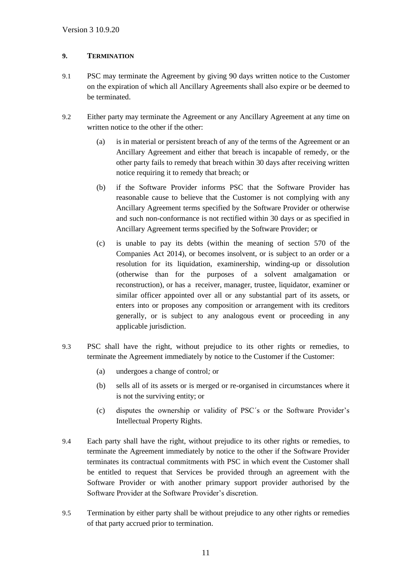# **9. TERMINATION**

- 9.1 PSC may terminate the Agreement by giving 90 days written notice to the Customer on the expiration of which all Ancillary Agreements shall also expire or be deemed to be terminated.
- 9.2 Either party may terminate the Agreement or any Ancillary Agreement at any time on written notice to the other if the other:
	- (a) is in material or persistent breach of any of the terms of the Agreement or an Ancillary Agreement and either that breach is incapable of remedy, or the other party fails to remedy that breach within 30 days after receiving written notice requiring it to remedy that breach; or
	- (b) if the Software Provider informs PSC that the Software Provider has reasonable cause to believe that the Customer is not complying with any Ancillary Agreement terms specified by the Software Provider or otherwise and such non-conformance is not rectified within 30 days or as specified in Ancillary Agreement terms specified by the Software Provider; or
	- (c) is unable to pay its debts (within the meaning of section 570 of the Companies Act 2014), or becomes insolvent, or is subject to an order or a resolution for its liquidation, examinership, winding-up or dissolution (otherwise than for the purposes of a solvent amalgamation or reconstruction), or has a receiver, manager, trustee, liquidator, examiner or similar officer appointed over all or any substantial part of its assets, or enters into or proposes any composition or arrangement with its creditors generally, or is subject to any analogous event or proceeding in any applicable jurisdiction.
- 9.3 PSC shall have the right, without prejudice to its other rights or remedies, to terminate the Agreement immediately by notice to the Customer if the Customer:
	- (a) undergoes a change of control*;* or
	- (b) sells all of its assets or is merged or re-organised in circumstances where it is not the surviving entity; or
	- (c) disputes the ownership or validity of PSC´s or the Software Provider's Intellectual Property Rights.
- 9.4 Each party shall have the right, without prejudice to its other rights or remedies, to terminate the Agreement immediately by notice to the other if the Software Provider terminates its contractual commitments with PSC in which event the Customer shall be entitled to request that Services be provided through an agreement with the Software Provider or with another primary support provider authorised by the Software Provider at the Software Provider's discretion.
- 9.5 Termination by either party shall be without prejudice to any other rights or remedies of that party accrued prior to termination.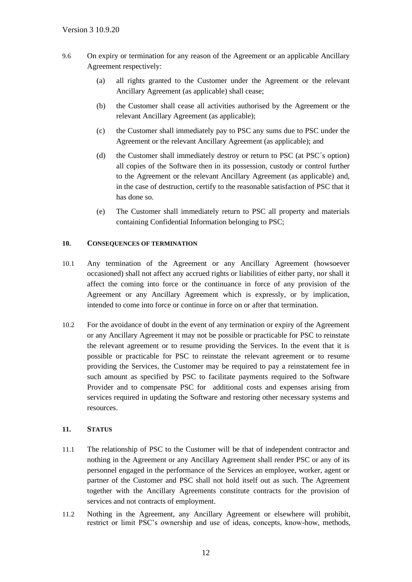- 9.6 On expiry or termination for any reason of the Agreement or an applicable Ancillary Agreement respectively:
	- (a) all rights granted to the Customer under the Agreement or the relevant Ancillary Agreement (as applicable) shall cease;
	- (b) the Customer shall cease all activities authorised by the Agreement or the relevant Ancillary Agreement (as applicable);
	- (c) the Customer shall immediately pay to PSC any sums due to PSC under the Agreement or the relevant Ancillary Agreement (as applicable); and
	- (d) the Customer shall immediately destroy or return to PSC (at PSC´s option) all copies of the Software then in its possession, custody or control further to the Agreement or the relevant Ancillary Agreement (as applicable) and, in the case of destruction, certify to the reasonable satisfaction of PSC that it has done so.
	- (e) The Customer shall immediately return to PSC all property and materials containing Confidential Information belonging to PSC;

### <span id="page-13-0"></span>**10. CONSEQUENCES OF TERMINATION**

- 10.1 Any termination of the Agreement or any Ancillary Agreement (howsoever occasioned) shall not affect any accrued rights or liabilities of either party, nor shall it affect the coming into force or the continuance in force of any provision of the Agreement or any Ancillary Agreement which is expressly, or by implication, intended to come into force or continue in force on or after that termination.
- 10.2 For the avoidance of doubt in the event of any termination or expiry of the Agreement or any Ancillary Agreement it may not be possible or practicable for PSC to reinstate the relevant agreement or to resume providing the Services. In the event that it is possible or practicable for PSC to reinstate the relevant agreement or to resume providing the Services, the Customer may be required to pay a reinstatement fee in such amount as specified by PSC to facilitate payments required to the Software Provider and to compensate PSC for additional costs and expenses arising from services required in updating the Software and restoring other necessary systems and resources.

# **11. STATUS**

- 11.1 The relationship of PSC to the Customer will be that of independent contractor and nothing in the Agreement or any Ancillary Agreement shall render PSC or any of its personnel engaged in the performance of the Services an employee, worker, agent or partner of the Customer and PSC shall not hold itself out as such. The Agreement together with the Ancillary Agreements constitute contracts for the provision of services and not contracts of employment.
- 11.2 Nothing in the Agreement, any Ancillary Agreement or elsewhere will prohibit, restrict or limit PSC's ownership and use of ideas, concepts, know-how, methods,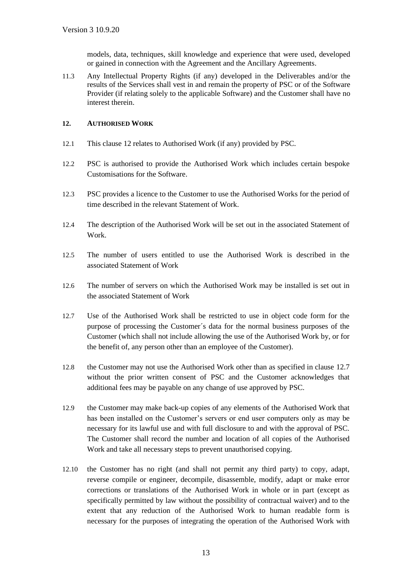models, data, techniques, skill knowledge and experience that were used, developed or gained in connection with the Agreement and the Ancillary Agreements.

11.3 Any Intellectual Property Rights (if any) developed in the Deliverables and/or the results of the Services shall vest in and remain the property of PSC or of the Software Provider (if relating solely to the applicable Software) and the Customer shall have no interest therein.

### **12. AUTHORISED WORK**

- 12.1 This clause 12 relates to Authorised Work (if any) provided by PSC.
- 12.2 PSC is authorised to provide the Authorised Work which includes certain bespoke Customisations for the Software.
- 12.3 PSC provides a licence to the Customer to use the Authorised Works for the period of time described in the relevant Statement of Work.
- 12.4 The description of the Authorised Work will be set out in the associated Statement of Work.
- 12.5 The number of users entitled to use the Authorised Work is described in the associated Statement of Work
- 12.6 The number of servers on which the Authorised Work may be installed is set out in the associated Statement of Work
- 12.7 Use of the Authorised Work shall be restricted to use in object code form for the purpose of processing the Customer´s data for the normal business purposes of the Customer (which shall not include allowing the use of the Authorised Work by, or for the benefit of, any person other than an employee of the Customer).
- 12.8 the Customer may not use the Authorised Work other than as specified in clause 12.7 without the prior written consent of PSC and the Customer acknowledges that additional fees may be payable on any change of use approved by PSC.
- 12.9 the Customer may make back-up copies of any elements of the Authorised Work that has been installed on the Customer's servers or end user computers only as may be necessary for its lawful use and with full disclosure to and with the approval of PSC. The Customer shall record the number and location of all copies of the Authorised Work and take all necessary steps to prevent unauthorised copying.
- 12.10 the Customer has no right (and shall not permit any third party) to copy, adapt, reverse compile or engineer, decompile, disassemble, modify, adapt or make error corrections or translations of the Authorised Work in whole or in part (except as specifically permitted by law without the possibility of contractual waiver) and to the extent that any reduction of the Authorised Work to human readable form is necessary for the purposes of integrating the operation of the Authorised Work with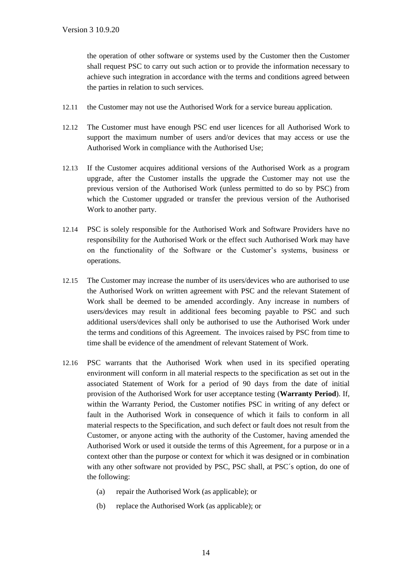the operation of other software or systems used by the Customer then the Customer shall request PSC to carry out such action or to provide the information necessary to achieve such integration in accordance with the terms and conditions agreed between the parties in relation to such services.

- 12.11 the Customer may not use the Authorised Work for a service bureau application.
- 12.12 The Customer must have enough PSC end user licences for all Authorised Work to support the maximum number of users and/or devices that may access or use the Authorised Work in compliance with the Authorised Use;
- 12.13 If the Customer acquires additional versions of the Authorised Work as a program upgrade, after the Customer installs the upgrade the Customer may not use the previous version of the Authorised Work (unless permitted to do so by PSC) from which the Customer upgraded or transfer the previous version of the Authorised Work to another party.
- 12.14 PSC is solely responsible for the Authorised Work and Software Providers have no responsibility for the Authorised Work or the effect such Authorised Work may have on the functionality of the Software or the Customer's systems, business or operations.
- 12.15 The Customer may increase the number of its users/devices who are authorised to use the Authorised Work on written agreement with PSC and the relevant Statement of Work shall be deemed to be amended accordingly. Any increase in numbers of users/devices may result in additional fees becoming payable to PSC and such additional users/devices shall only be authorised to use the Authorised Work under the terms and conditions of this Agreement. The invoices raised by PSC from time to time shall be evidence of the amendment of relevant Statement of Work.
- 12.16 PSC warrants that the Authorised Work when used in its specified operating environment will conform in all material respects to the specification as set out in the associated Statement of Work for a period of 90 days from the date of initial provision of the Authorised Work for user acceptance testing (**Warranty Period**). If, within the Warranty Period, the Customer notifies PSC in writing of any defect or fault in the Authorised Work in consequence of which it fails to conform in all material respects to the Specification, and such defect or fault does not result from the Customer, or anyone acting with the authority of the Customer, having amended the Authorised Work or used it outside the terms of this Agreement, for a purpose or in a context other than the purpose or context for which it was designed or in combination with any other software not provided by PSC, PSC shall, at PSC´s option, do one of the following:
	- (a) repair the Authorised Work (as applicable); or
	- (b) replace the Authorised Work (as applicable); or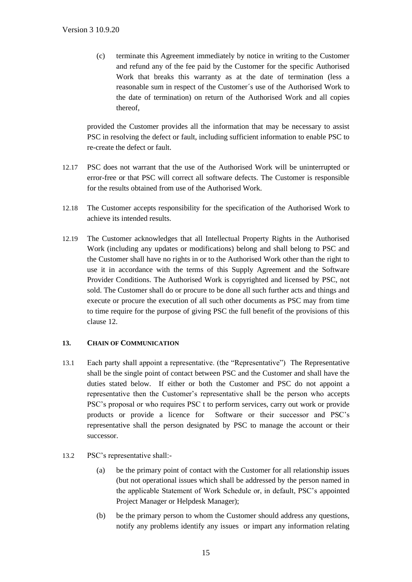(c) terminate this Agreement immediately by notice in writing to the Customer and refund any of the fee paid by the Customer for the specific Authorised Work that breaks this warranty as at the date of termination (less a reasonable sum in respect of the Customer´s use of the Authorised Work to the date of termination) on return of the Authorised Work and all copies thereof,

provided the Customer provides all the information that may be necessary to assist PSC in resolving the defect or fault, including sufficient information to enable PSC to re-create the defect or fault.

- 12.17 PSC does not warrant that the use of the Authorised Work will be uninterrupted or error-free or that PSC will correct all software defects. The Customer is responsible for the results obtained from use of the Authorised Work.
- 12.18 The Customer accepts responsibility for the specification of the Authorised Work to achieve its intended results.
- 12.19 The Customer acknowledges that all Intellectual Property Rights in the Authorised Work (including any updates or modifications) belong and shall belong to PSC and the Customer shall have no rights in or to the Authorised Work other than the right to use it in accordance with the terms of this Supply Agreement and the Software Provider Conditions. The Authorised Work is copyrighted and licensed by PSC, not sold. The Customer shall do or procure to be done all such further acts and things and execute or procure the execution of all such other documents as PSC may from time to time require for the purpose of giving PSC the full benefit of the provisions of this clause 12.

# **13. CHAIN OF COMMUNICATION**

- 13.1 Each party shall appoint a representative. (the "Representative") The Representative shall be the single point of contact between PSC and the Customer and shall have the duties stated below. If either or both the Customer and PSC do not appoint a representative then the Customer's representative shall be the person who accepts PSC's proposal or who requires PSC t to perform services, carry out work or provide products or provide a licence for Software or their successor and PSC's representative shall the person designated by PSC to manage the account or their successor.
- 13.2 PSC's representative shall:-
	- (a) be the primary point of contact with the Customer for all relationship issues (but not operational issues which shall be addressed by the person named in the applicable Statement of Work Schedule or, in default, PSC's appointed Project Manager or Helpdesk Manager);
	- (b) be the primary person to whom the Customer should address any questions, notify any problems identify any issues or impart any information relating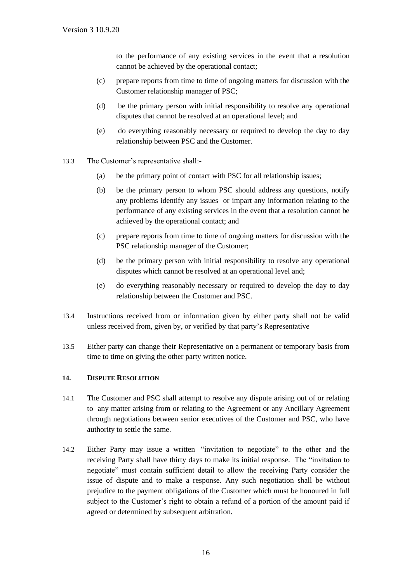to the performance of any existing services in the event that a resolution cannot be achieved by the operational contact;

- (c) prepare reports from time to time of ongoing matters for discussion with the Customer relationship manager of PSC;
- (d) be the primary person with initial responsibility to resolve any operational disputes that cannot be resolved at an operational level; and
- (e) do everything reasonably necessary or required to develop the day to day relationship between PSC and the Customer.
- 13.3 The Customer's representative shall:-
	- (a) be the primary point of contact with PSC for all relationship issues;
	- (b) be the primary person to whom PSC should address any questions, notify any problems identify any issues or impart any information relating to the performance of any existing services in the event that a resolution cannot be achieved by the operational contact; and
	- (c) prepare reports from time to time of ongoing matters for discussion with the PSC relationship manager of the Customer;
	- (d) be the primary person with initial responsibility to resolve any operational disputes which cannot be resolved at an operational level and;
	- (e) do everything reasonably necessary or required to develop the day to day relationship between the Customer and PSC.
- 13.4 Instructions received from or information given by either party shall not be valid unless received from, given by, or verified by that party's Representative
- 13.5 Either party can change their Representative on a permanent or temporary basis from time to time on giving the other party written notice.

#### **14. DISPUTE RESOLUTION**

- 14.1 The Customer and PSC shall attempt to resolve any dispute arising out of or relating to any matter arising from or relating to the Agreement or any Ancillary Agreement through negotiations between senior executives of the Customer and PSC, who have authority to settle the same.
- 14.2 Either Party may issue a written "invitation to negotiate" to the other and the receiving Party shall have thirty days to make its initial response. The "invitation to negotiate" must contain sufficient detail to allow the receiving Party consider the issue of dispute and to make a response. Any such negotiation shall be without prejudice to the payment obligations of the Customer which must be honoured in full subject to the Customer's right to obtain a refund of a portion of the amount paid if agreed or determined by subsequent arbitration.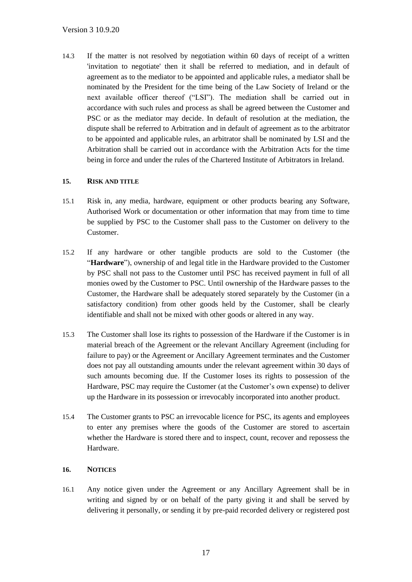14.3 If the matter is not resolved by negotiation within 60 days of receipt of a written 'invitation to negotiate' then it shall be referred to mediation, and in default of agreement as to the mediator to be appointed and applicable rules, a mediator shall be nominated by the President for the time being of the Law Society of Ireland or the next available officer thereof ("LSI"). The mediation shall be carried out in accordance with such rules and process as shall be agreed between the Customer and PSC or as the mediator may decide. In default of resolution at the mediation, the dispute shall be referred to Arbitration and in default of agreement as to the arbitrator to be appointed and applicable rules, an arbitrator shall be nominated by LSI and the Arbitration shall be carried out in accordance with the Arbitration Acts for the time being in force and under the rules of the Chartered Institute of Arbitrators in Ireland.

# **15. RISK AND TITLE**

- 15.1 Risk in, any media, hardware, equipment or other products bearing any Software, Authorised Work or documentation or other information that may from time to time be supplied by PSC to the Customer shall pass to the Customer on delivery to the Customer.
- 15.2 If any hardware or other tangible products are sold to the Customer (the "**Hardware**"), ownership of and legal title in the Hardware provided to the Customer by PSC shall not pass to the Customer until PSC has received payment in full of all monies owed by the Customer to PSC. Until ownership of the Hardware passes to the Customer, the Hardware shall be adequately stored separately by the Customer (in a satisfactory condition) from other goods held by the Customer, shall be clearly identifiable and shall not be mixed with other goods or altered in any way.
- 15.3 The Customer shall lose its rights to possession of the Hardware if the Customer is in material breach of the Agreement or the relevant Ancillary Agreement (including for failure to pay) or the Agreement or Ancillary Agreement terminates and the Customer does not pay all outstanding amounts under the relevant agreement within 30 days of such amounts becoming due. If the Customer loses its rights to possession of the Hardware, PSC may require the Customer (at the Customer's own expense) to deliver up the Hardware in its possession or irrevocably incorporated into another product.
- 15.4 The Customer grants to PSC an irrevocable licence for PSC, its agents and employees to enter any premises where the goods of the Customer are stored to ascertain whether the Hardware is stored there and to inspect, count, recover and repossess the Hardware.

# **16. NOTICES**

16.1 Any notice given under the Agreement or any Ancillary Agreement shall be in writing and signed by or on behalf of the party giving it and shall be served by delivering it personally, or sending it by pre-paid recorded delivery or registered post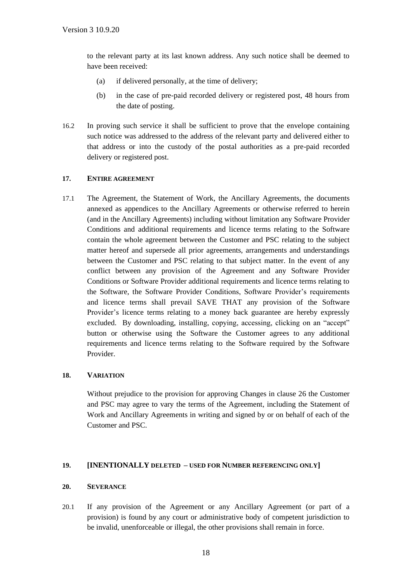to the relevant party at its last known address. Any such notice shall be deemed to have been received:

- (a) if delivered personally, at the time of delivery;
- (b) in the case of pre-paid recorded delivery or registered post, 48 hours from the date of posting.
- 16.2 In proving such service it shall be sufficient to prove that the envelope containing such notice was addressed to the address of the relevant party and delivered either to that address or into the custody of the postal authorities as a pre-paid recorded delivery or registered post.

# **17. ENTIRE AGREEMENT**

17.1 The Agreement, the Statement of Work, the Ancillary Agreements, the documents annexed as appendices to the Ancillary Agreements or otherwise referred to herein (and in the Ancillary Agreements) including without limitation any Software Provider Conditions and additional requirements and licence terms relating to the Software contain the whole agreement between the Customer and PSC relating to the subject matter hereof and supersede all prior agreements, arrangements and understandings between the Customer and PSC relating to that subject matter. In the event of any conflict between any provision of the Agreement and any Software Provider Conditions or Software Provider additional requirements and licence terms relating to the Software, the Software Provider Conditions, Software Provider's requirements and licence terms shall prevail SAVE THAT any provision of the Software Provider's licence terms relating to a money back guarantee are hereby expressly excluded. By downloading, installing, copying, accessing, clicking on an "accept" button or otherwise using the Software the Customer agrees to any additional requirements and licence terms relating to the Software required by the Software Provider.

### **18. VARIATION**

Without prejudice to the provision for approving Changes in clause 26 the Customer and PSC may agree to vary the terms of the Agreement, including the Statement of Work and Ancillary Agreements in writing and signed by or on behalf of each of the Customer and PSC.

### **19. [INENTIONALLY DELETED – USED FOR NUMBER REFERENCING ONLY]**

#### **20. SEVERANCE**

20.1 If any provision of the Agreement or any Ancillary Agreement (or part of a provision) is found by any court or administrative body of competent jurisdiction to be invalid, unenforceable or illegal, the other provisions shall remain in force.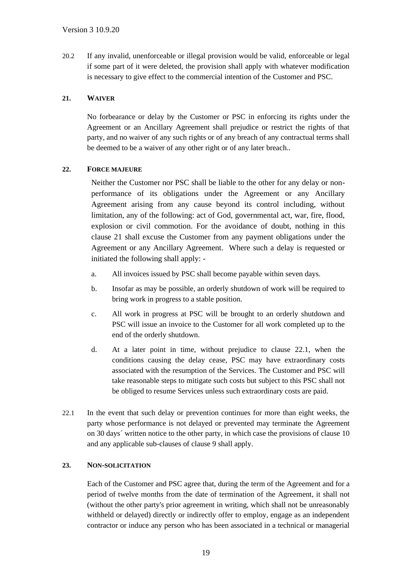20.2 If any invalid, unenforceable or illegal provision would be valid, enforceable or legal if some part of it were deleted, the provision shall apply with whatever modification is necessary to give effect to the commercial intention of the Customer and PSC.

# **21. WAIVER**

No forbearance or delay by the Customer or PSC in enforcing its rights under the Agreement or an Ancillary Agreement shall prejudice or restrict the rights of that party, and no waiver of any such rights or of any breach of any contractual terms shall be deemed to be a waiver of any other right or of any later breach..

### **22. FORCE MAJEURE**

Neither the Customer nor PSC shall be liable to the other for any delay or nonperformance of its obligations under the Agreement or any Ancillary Agreement arising from any cause beyond its control including, without limitation, any of the following: act of God, governmental act, war, fire, flood, explosion or civil commotion. For the avoidance of doubt, nothing in this clause 21 shall excuse the Customer from any payment obligations under the Agreement or any Ancillary Agreement. Where such a delay is requested or initiated the following shall apply: -

- a. All invoices issued by PSC shall become payable within seven days.
- b. Insofar as may be possible, an orderly shutdown of work will be required to bring work in progress to a stable position.
- c. All work in progress at PSC will be brought to an orderly shutdown and PSC will issue an invoice to the Customer for all work completed up to the end of the orderly shutdown.
- d. At a later point in time, without prejudice to clause 22.1, when the conditions causing the delay cease, PSC may have extraordinary costs associated with the resumption of the Services. The Customer and PSC will take reasonable steps to mitigate such costs but subject to this PSC shall not be obliged to resume Services unless such extraordinary costs are paid.
- 22.1 In the event that such delay or prevention continues for more than eight weeks, the party whose performance is not delayed or prevented may terminate the Agreement on 30 days´ written notice to the other party, in which case the provisions of clause [10](#page-13-0) and any applicable sub-clauses of clause 9 shall apply.

#### **23. NON-SOLICITATION**

Each of the Customer and PSC agree that, during the term of the Agreement and for a period of twelve months from the date of termination of the Agreement, it shall not (without the other party's prior agreement in writing, which shall not be unreasonably withheld or delayed) directly or indirectly offer to employ, engage as an independent contractor or induce any person who has been associated in a technical or managerial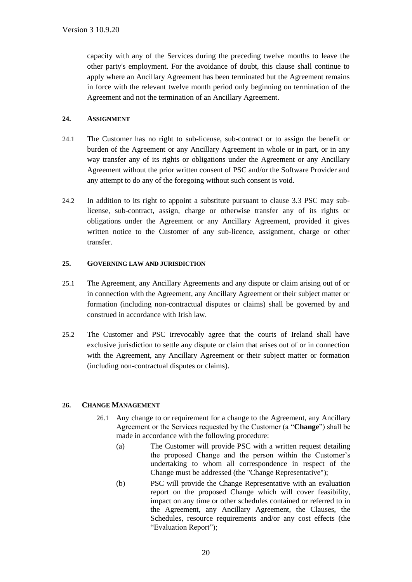capacity with any of the Services during the preceding twelve months to leave the other party's employment. For the avoidance of doubt, this clause shall continue to apply where an Ancillary Agreement has been terminated but the Agreement remains in force with the relevant twelve month period only beginning on termination of the Agreement and not the termination of an Ancillary Agreement.

# **24. ASSIGNMENT**

- 24.1 The Customer has no right to sub-license, sub-contract or to assign the benefit or burden of the Agreement or any Ancillary Agreement in whole or in part, or in any way transfer any of its rights or obligations under the Agreement or any Ancillary Agreement without the prior written consent of PSC and/or the Software Provider and any attempt to do any of the foregoing without such consent is void.
- 24.2 In addition to its right to appoint a substitute pursuant to clause 3.3 PSC may sublicense, sub-contract, assign, charge or otherwise transfer any of its rights or obligations under the Agreement or any Ancillary Agreement, provided it gives written notice to the Customer of any sub-licence, assignment, charge or other transfer.

### **25. GOVERNING LAW AND JURISDICTION**

- 25.1 The Agreement, any Ancillary Agreements and any dispute or claim arising out of or in connection with the Agreement, any Ancillary Agreement or their subject matter or formation (including non-contractual disputes or claims) shall be governed by and construed in accordance with Irish law.
- 25.2 The Customer and PSC irrevocably agree that the courts of Ireland shall have exclusive jurisdiction to settle any dispute or claim that arises out of or in connection with the Agreement, any Ancillary Agreement or their subject matter or formation (including non-contractual disputes or claims).

# **26. CHANGE MANAGEMENT**

- 26.1 Any change to or requirement for a change to the Agreement, any Ancillary Agreement or the Services requested by the Customer (a "**Change**") shall be made in accordance with the following procedure:
	- (a) The Customer will provide PSC with a written request detailing the proposed Change and the person within the Customer's undertaking to whom all correspondence in respect of the Change must be addressed (the "Change Representative");
	- (b) PSC will provide the Change Representative with an evaluation report on the proposed Change which will cover feasibility, impact on any time or other schedules contained or referred to in the Agreement, any Ancillary Agreement, the Clauses, the Schedules, resource requirements and/or any cost effects (the "Evaluation Report");